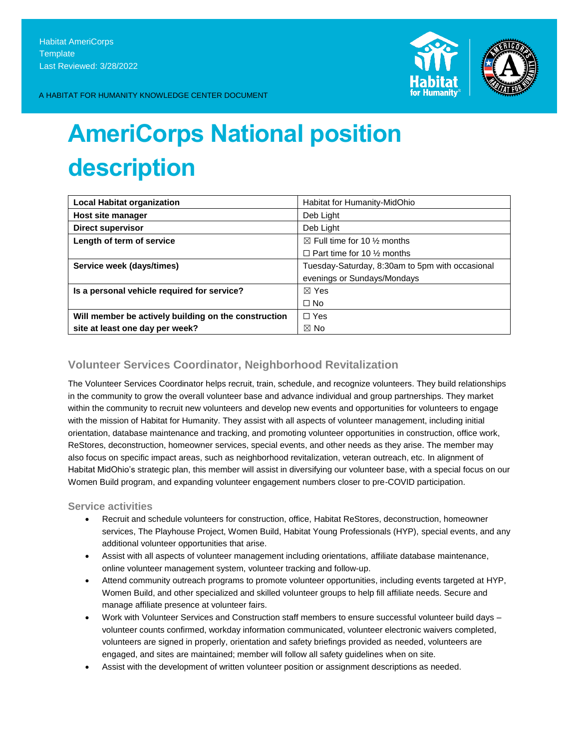

A HABITAT FOR HUMANITY KNOWLEDGE CENTER DOCUMENT

# **AmeriCorps National position description**

| <b>Local Habitat organization</b>                    | Habitat for Humanity-MidOhio                    |
|------------------------------------------------------|-------------------------------------------------|
| Host site manager                                    | Deb Light                                       |
| <b>Direct supervisor</b>                             | Deb Light                                       |
| Length of term of service                            | $\boxtimes$ Full time for 10 % months           |
|                                                      | $\Box$ Part time for 10 % months                |
| Service week (days/times)                            | Tuesday-Saturday, 8:30am to 5pm with occasional |
|                                                      | evenings or Sundays/Mondays                     |
| Is a personal vehicle required for service?          | $\boxtimes$ Yes                                 |
|                                                      | $\Box$ No                                       |
| Will member be actively building on the construction | $\Box$ Yes                                      |
| site at least one day per week?                      | $\boxtimes$ No                                  |

# **Volunteer Services Coordinator, Neighborhood Revitalization**

The Volunteer Services Coordinator helps recruit, train, schedule, and recognize volunteers. They build relationships in the community to grow the overall volunteer base and advance individual and group partnerships. They market within the community to recruit new volunteers and develop new events and opportunities for volunteers to engage with the mission of Habitat for Humanity. They assist with all aspects of volunteer management, including initial orientation, database maintenance and tracking, and promoting volunteer opportunities in construction, office work, ReStores, deconstruction, homeowner services, special events, and other needs as they arise. The member may also focus on specific impact areas, such as neighborhood revitalization, veteran outreach, etc. In alignment of Habitat MidOhio's strategic plan, this member will assist in diversifying our volunteer base, with a special focus on our Women Build program, and expanding volunteer engagement numbers closer to pre-COVID participation.

**Service activities**

- Recruit and schedule volunteers for construction, office, Habitat ReStores, deconstruction, homeowner services, The Playhouse Project, Women Build, Habitat Young Professionals (HYP), special events, and any additional volunteer opportunities that arise.
- Assist with all aspects of volunteer management including orientations, affiliate database maintenance, online volunteer management system, volunteer tracking and follow-up.
- Attend community outreach programs to promote volunteer opportunities, including events targeted at HYP, Women Build, and other specialized and skilled volunteer groups to help fill affiliate needs. Secure and manage affiliate presence at volunteer fairs.
- Work with Volunteer Services and Construction staff members to ensure successful volunteer build days volunteer counts confirmed, workday information communicated, volunteer electronic waivers completed, volunteers are signed in properly, orientation and safety briefings provided as needed, volunteers are engaged, and sites are maintained; member will follow all safety guidelines when on site.
- Assist with the development of written volunteer position or assignment descriptions as needed.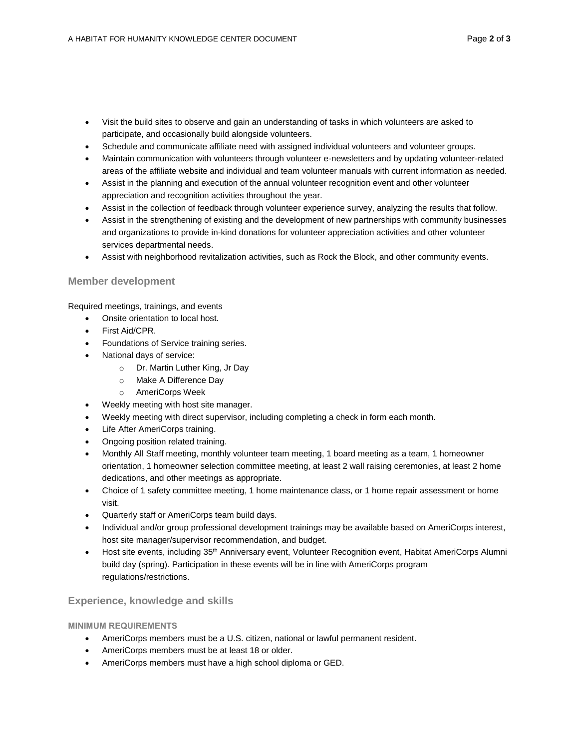- Visit the build sites to observe and gain an understanding of tasks in which volunteers are asked to participate, and occasionally build alongside volunteers.
- Schedule and communicate affiliate need with assigned individual volunteers and volunteer groups.
- Maintain communication with volunteers through volunteer e-newsletters and by updating volunteer-related areas of the affiliate website and individual and team volunteer manuals with current information as needed.
- Assist in the planning and execution of the annual volunteer recognition event and other volunteer appreciation and recognition activities throughout the year.
- Assist in the collection of feedback through volunteer experience survey, analyzing the results that follow.
- Assist in the strengthening of existing and the development of new partnerships with community businesses and organizations to provide in-kind donations for volunteer appreciation activities and other volunteer services departmental needs.
- Assist with neighborhood revitalization activities, such as Rock the Block, and other community events.

#### **Member development**

Required meetings, trainings, and events

- Onsite orientation to local host.
- First Aid/CPR.
- Foundations of Service training series.
- National days of service:
	- o Dr. Martin Luther King, Jr Day
	- o Make A Difference Day
	- o AmeriCorps Week
- Weekly meeting with host site manager.
- Weekly meeting with direct supervisor, including completing a check in form each month.
- Life After AmeriCorps training.
- Ongoing position related training.
- Monthly All Staff meeting, monthly volunteer team meeting, 1 board meeting as a team, 1 homeowner orientation, 1 homeowner selection committee meeting, at least 2 wall raising ceremonies, at least 2 home dedications, and other meetings as appropriate.
- Choice of 1 safety committee meeting, 1 home maintenance class, or 1 home repair assessment or home visit.
- Quarterly staff or AmeriCorps team build days.
- Individual and/or group professional development trainings may be available based on AmeriCorps interest, host site manager/supervisor recommendation, and budget.
- Host site events, including 35<sup>th</sup> Anniversary event, Volunteer Recognition event, Habitat AmeriCorps Alumni build day (spring). Participation in these events will be in line with AmeriCorps program regulations/restrictions.

## **Experience, knowledge and skills**

#### **MINIMUM REQUIREMENTS**

- AmeriCorps members must be a U.S. citizen, national or lawful permanent resident.
- AmeriCorps members must be at least 18 or older.
- AmeriCorps members must have a high school diploma or GED.